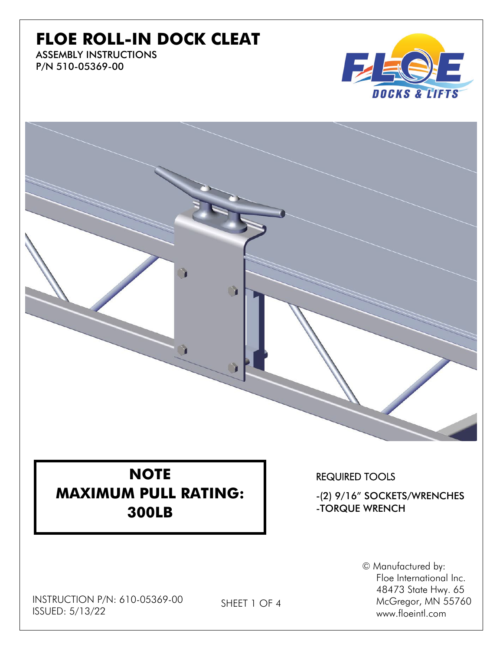## **FLOE ROLL-IN DOCK CLEAT**

ASSEMBLY INSTRUCTIONS P/N 510-05369-00



**NOTE MAXIMUM PULL RATING: 300LB**

REQUIRED TOOLS

-(2) 9/16" SOCKETS/WRENCHES -TORQUE WRENCH

> © Manufactured by: Floe International Inc. 48473 State Hwy. 65 McGregor, MN 55760 www.floeintl.com

INSTRUCTION P/N: 610-05369-00 ISSUED: 5/13/22

SHEET 1 OF 4

<sup>1</sup>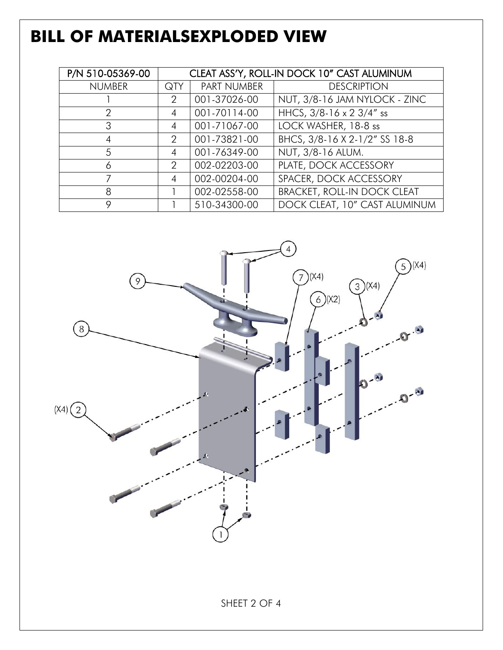# **BILL OF MATERIALSEXPLODED VIEW**

| P/N 510-05369-00 | CLEAT ASS'Y, ROLL-IN DOCK 10" CAST ALUMINUM |              |                                    |
|------------------|---------------------------------------------|--------------|------------------------------------|
| <b>NUMBER</b>    | QTY                                         | PART NUMBER  | <b>DESCRIPTION</b>                 |
|                  | 2                                           | 001-37026-00 | NUT, 3/8-16 JAM NYLOCK - ZINC      |
| 2                | 4                                           | 001-70114-00 | HHCS, 3/8-16 x 2 3/4" ss           |
| 3                | 4                                           | 001-71067-00 | LOCK WASHER, 18-8 ss               |
| 4                | 2                                           | 001-73821-00 | BHCS, 3/8-16 X 2-1/2" SS 18-8      |
| 5                | 4                                           | 001-76349-00 | NUT, 3/8-16 ALUM.                  |
| 6                | 2                                           | 002-02203-00 | PLATE, DOCK ACCESSORY              |
|                  | 4                                           | 002-00204-00 | SPACER, DOCK ACCESSORY             |
| 8                |                                             | 002-02558-00 | <b>BRACKET, ROLL-IN DOCK CLEAT</b> |
| 9                |                                             | 510-34300-00 | DOCK CLEAT, 10" CAST ALUMINUM      |

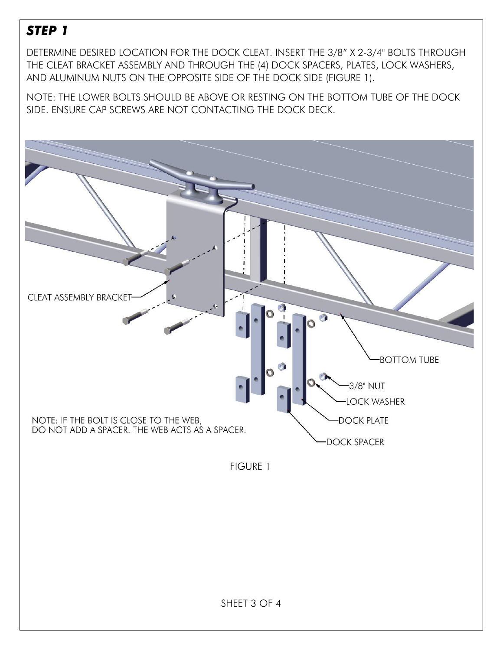### *STEP 1*

DETERMINE DESIRED LOCATION FOR THE DOCK CLEAT. INSERT THE 3/8" X 2-3/4" BOLTS THROUGH THE CLEAT BRACKET ASSEMBLY AND THROUGH THE (4) DOCK SPACERS, PLATES, LOCK WASHERS, AND ALUMINUM NUTS ON THE OPPOSITE SIDE OF THE DOCK SIDE (FIGURE 1).

NOTE: THE LOWER BOLTS SHOULD BE ABOVE OR RESTING ON THE BOTTOM TUBE OF THE DOCK SIDE. ENSURE CAP SCREWS ARE NOT CONTACTING THE DOCK DECK.